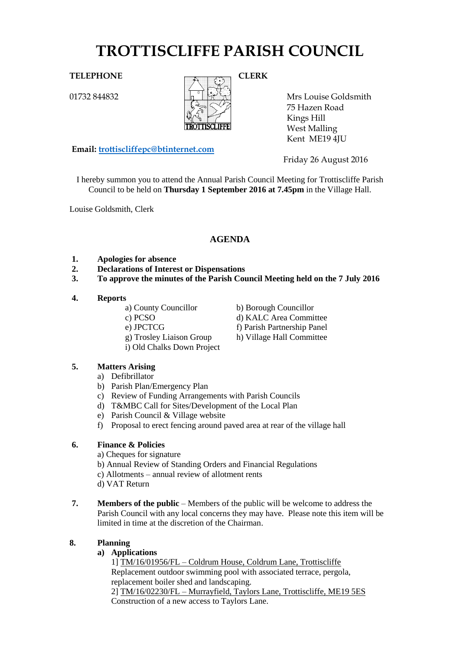# **TROTTISCLIFFE PARISH COUNCIL**

01732 844832



Mrs Louise Goldsmith 75 Hazen Road Kings Hill West Malling Kent ME19 4JU

**Email: [trottiscliffepc@btinternet.com](mailto:trottiscliffepc@btinternet.com)**

Friday 26 August 2016

I hereby summon you to attend the Annual Parish Council Meeting for Trottiscliffe Parish Council to be held on **Thursday 1 September 2016 at 7.45pm** in the Village Hall.

Louise Goldsmith, Clerk

# **AGENDA**

- **1. Apologies for absence**
- **2. Declarations of Interest or Dispensations**
- **3. To approve the minutes of the Parish Council Meeting held on the 7 July 2016**

#### **4. Reports**

a) County Councillor b) Borough Councillor c) PCSO d) KALC Area Committee e) JPCTCG f) Parish Partnership Panel g) Trosley Liaison Group h) Village Hall Committee i) Old Chalks Down Project

## **5. Matters Arising**

- a) Defibrillator
- b) Parish Plan/Emergency Plan
- c) Review of Funding Arrangements with Parish Councils
- d) T&MBC Call for Sites/Development of the Local Plan
- e) Parish Council & Village website
- f) Proposal to erect fencing around paved area at rear of the village hall

### **6. Finance & Policies**

- a) Cheques for signature
- b) Annual Review of Standing Orders and Financial Regulations
- c) Allotments annual review of allotment rents
- d) VAT Return
- **7. Members of the public** Members of the public will be welcome to address the Parish Council with any local concerns they may have. Please note this item will be limited in time at the discretion of the Chairman.

### **8. Planning**

### **a) Applications**

1] TM/16/01956/FL – Coldrum House, Coldrum Lane, Trottiscliffe Replacement outdoor swimming pool with associated terrace, pergola, replacement boiler shed and landscaping.

2] TM/16/02230/FL – Murrayfield, Taylors Lane, Trottiscliffe, ME19 5ES Construction of a new access to Taylors Lane.